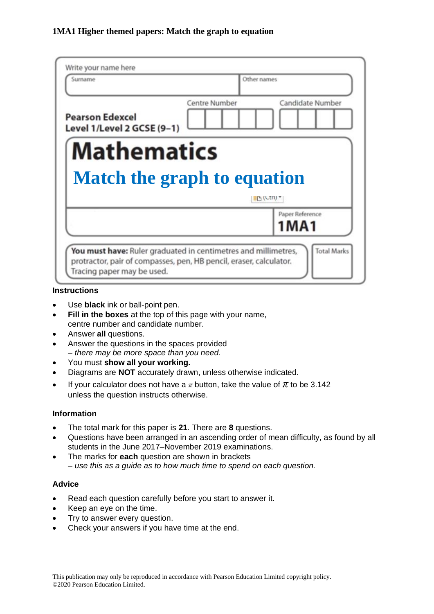| Write your name here<br>Surname                      | Other names   |                            |
|------------------------------------------------------|---------------|----------------------------|
| <b>Pearson Edexcel</b><br>Level 1/Level 2 GCSE (9-1) | Centre Number | Candidate Number           |
| <b>Mathematics</b>                                   |               |                            |
|                                                      |               |                            |
| <b>Match the graph to equation</b>                   |               | $P_1$ (Ctri) $\tau$        |
|                                                      |               | Paper Reference<br>1 M A 1 |

## **Instructions**

- Use **black** ink or ball-point pen.
- **Fill in the boxes** at the top of this page with your name, centre number and candidate number.
- Answer **all** questions.
- Answer the questions in the spaces provided *– there may be more space than you need.*
- You must **show all your working.**
- Diagrams are **NOT** accurately drawn, unless otherwise indicated.
- If your calculator does not have a  $\pi$  button, take the value of  $\pi$  to be 3.142 unless the question instructs otherwise.

## **Information**

- The total mark for this paper is **21**. There are **8** questions.
- Questions have been arranged in an ascending order of mean difficulty, as found by all students in the June 2017–November 2019 examinations.
- The marks for **each** question are shown in brackets *– use this as a guide as to how much time to spend on each question.*

## **Advice**

- Read each question carefully before you start to answer it.
- Keep an eye on the time.
- Try to answer every question.
- Check your answers if you have time at the end.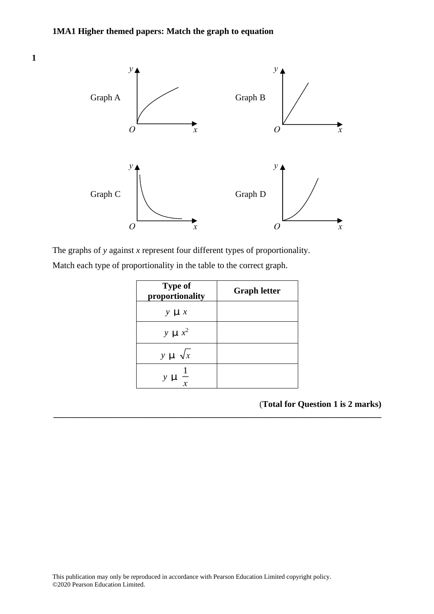**1 12**



The graphs of *y* against *x* represent four different types of proportionality. The graphs of *y* against *<sup>x</sup>* represen<sup>t</sup> four different types of proportionality.

| Match each type of proportionality in the table to the correct graph. |  |
|-----------------------------------------------------------------------|--|
|                                                                       |  |

| <b>Type of</b><br>proportionality | <b>Graph letter</b> |
|-----------------------------------|---------------------|
| $y \cup x$                        |                     |
| $y \mu x^2$                       |                     |
| $y \cup \sqrt{x}$                 |                     |
| $y \cup \frac{1}{x}$              |                     |

**\_\_\_\_\_\_\_\_\_\_\_\_\_\_\_\_\_\_\_\_\_\_\_\_\_\_\_\_\_\_\_\_\_\_\_\_\_\_\_\_\_\_\_\_\_\_\_\_\_\_\_\_\_\_\_\_\_\_\_\_\_\_\_\_\_\_\_\_\_\_\_\_\_\_\_**

(**Total for Question 1 is 2 marks)**

**(Total for Question 12 is 2 marks)**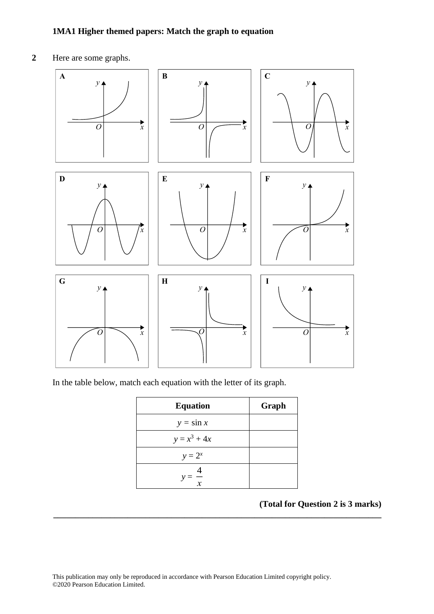## **1MA1 Higher themed papers: Match the graph to equation**

**2** Here are some graphs. **14** Here are some graphs.



In the table below, match each equation with the letter of its graph. In the table below, match each equation with the letter of its graph.

| <b>Equation</b> | Graph |
|-----------------|-------|
| $y = \sin x$    |       |
| $y = x^3 + 4x$  |       |
| $y = 2^x$       |       |
| $\frac{1}{x}$   |       |

**\_\_\_\_\_\_\_\_\_\_\_\_\_\_\_\_\_\_\_\_\_\_\_\_\_\_\_\_\_\_\_\_\_\_\_\_\_\_\_\_\_\_\_\_\_\_\_\_\_\_\_\_\_\_\_\_\_\_\_\_\_\_\_\_\_\_\_\_\_\_\_\_\_\_\_**

#### **(Total for Question 2 is 3 marks) (Total for Question 14 is 3 marks)**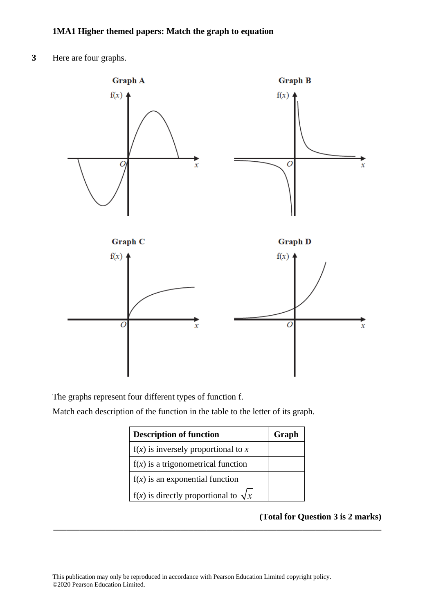**3** Here are four graphs.



The graphs represent four different types of function f.

Match each description of the function in the table to the letter of its graph.

| <b>Description of function</b>                | Graph |
|-----------------------------------------------|-------|
| $f(x)$ is inversely proportional to x         |       |
| $f(x)$ is a trigonometrical function          |       |
| $f(x)$ is an exponential function             |       |
| $f(x)$ is directly proportional to $\sqrt{x}$ |       |

**\_\_\_\_\_\_\_\_\_\_\_\_\_\_\_\_\_\_\_\_\_\_\_\_\_\_\_\_\_\_\_\_\_\_\_\_\_\_\_\_\_\_\_\_\_\_\_\_\_\_\_\_\_\_\_\_\_\_\_\_\_\_\_\_\_\_\_\_\_\_\_\_\_\_\_**

# **(Total for Question 3 is 2 marks)**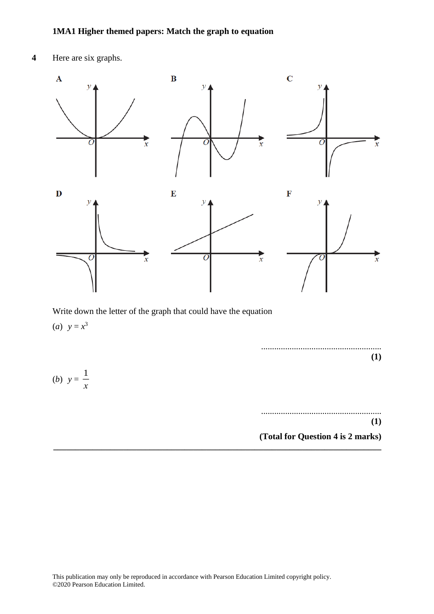**4** Here are six graphs.

(*b*)  $y = \frac{1}{x}$ 

*x*



Write down the letter of the graph that could have the equation (*a*)  $y = x^3$ 

....................................................... **(1)**

....................................................... **(1) (Total for Question 4 is 2 marks)**

**\_\_\_\_\_\_\_\_\_\_\_\_\_\_\_\_\_\_\_\_\_\_\_\_\_\_\_\_\_\_\_\_\_\_\_\_\_\_\_\_\_\_\_\_\_\_\_\_\_\_\_\_\_\_\_\_\_\_\_\_\_\_\_\_\_\_\_\_\_\_\_\_\_\_\_**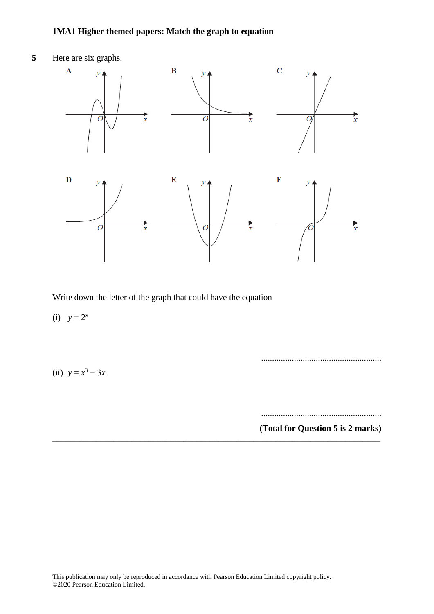# **1MA1 Higher themed papers: Match the graph to equation**



Write down the letter of the graph that could have the equation

(i)  $y = 2^x$ 

(ii)  $y = x^3 - 3x$ 

.......................................................

.......................................................

**(Total for Question 5 is 2 marks)**

**\_\_\_\_\_\_\_\_\_\_\_\_\_\_\_\_\_\_\_\_\_\_\_\_\_\_\_\_\_\_\_\_\_\_\_\_\_\_\_\_\_\_\_\_\_\_\_\_\_\_\_\_\_\_\_\_\_\_\_\_\_\_\_\_\_\_\_\_\_\_\_\_\_\_\_**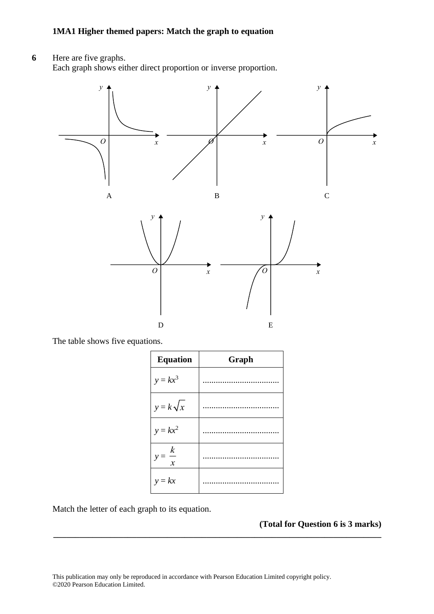**6** Here are five graphs. Each graph shows either direct proportion or inverse proportion.



The table shows five equations. The table shows five equations.

| <b>Equation</b>   | Graph |
|-------------------|-------|
| $y = kx^3$        |       |
| $y = k\sqrt{x}$   |       |
| $y = kx^2$        |       |
| $y = \frac{k}{x}$ |       |
| $y = kx$          |       |

**\_\_\_\_\_\_\_\_\_\_\_\_\_\_\_\_\_\_\_\_\_\_\_\_\_\_\_\_\_\_\_\_\_\_\_\_\_\_\_\_\_\_\_\_\_\_\_\_\_\_\_\_\_\_\_\_\_\_\_\_\_\_\_\_\_\_\_\_\_\_\_\_\_\_\_**

Match the letter of each graph to its equation.

**(Total for Question 6 is 3 marks) 13** \*S57494A01324\* *Turn over*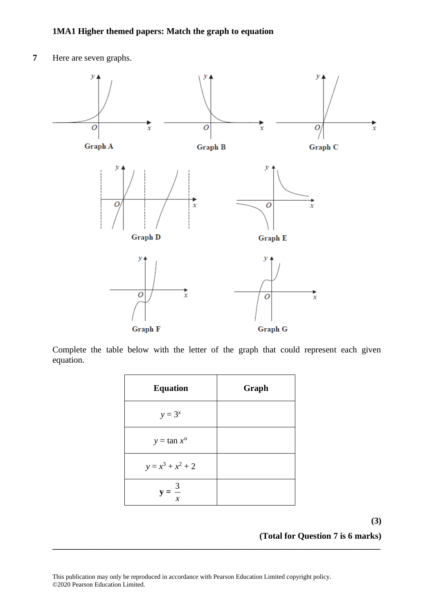**7** Here are seven graphs.



Complete the table below with the letter of the graph that could represent each given equation.

| <b>Equation</b>      | Graph |
|----------------------|-------|
| $y = 3^x$            |       |
| $y = \tan x^{\circ}$ |       |
| $y = x^3 + x^2 + 2$  |       |
| $=\frac{3}{x}$       |       |

**\_\_\_\_\_\_\_\_\_\_\_\_\_\_\_\_\_\_\_\_\_\_\_\_\_\_\_\_\_\_\_\_\_\_\_\_\_\_\_\_\_\_\_\_\_\_\_\_\_\_\_\_\_\_\_\_\_\_\_\_\_\_\_\_\_\_\_\_\_\_\_\_\_\_\_**

**(3)**

**(Total for Question 7 is 6 marks)**